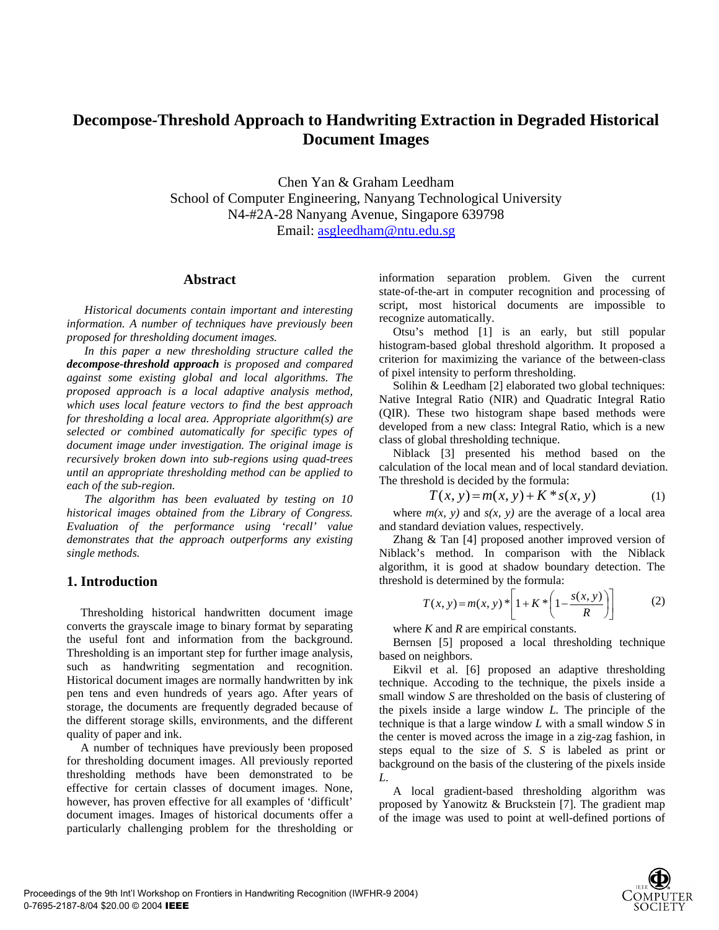# **Decompose-Threshold Approach to Handwriting Extraction in Degraded Historical Document Images**

Chen Yan & Graham Leedham School of Computer Engineering, Nanyang Technological University N4-#2A-28 Nanyang Avenue, Singapore 639798 Email: [asgleedham@ntu.edu.sg](mailto:asgleedham@ntu.edu.sg)

## **Abstract**

*Historical documents contain important and interesting information. A number of techniques have previously been proposed for thresholding document images.* 

*In this paper a new thresholding structure called the decompose-threshold approach is proposed and compared against some existing global and local algorithms. The proposed approach is a local adaptive analysis method, which uses local feature vectors to find the best approach for thresholding a local area. Appropriate algorithm(s) are selected or combined automatically for specific types of document image under investigation. The original image is recursively broken down into sub-regions using quad-trees until an appropriate thresholding method can be applied to each of the sub-region.* 

*The algorithm has been evaluated by testing on 10 historical images obtained from the Library of Congress. Evaluation of the performance using 'recall' value demonstrates that the approach outperforms any existing single methods.* 

# **1. Introduction**

Thresholding historical handwritten document image converts the grayscale image to binary format by separating the useful font and information from the background. Thresholding is an important step for further image analysis, such as handwriting segmentation and recognition. Historical document images are normally handwritten by ink pen tens and even hundreds of years ago. After years of storage, the documents are frequently degraded because of the different storage skills, environments, and the different quality of paper and ink.

A number of techniques have previously been proposed for thresholding document images. All previously reported thresholding methods have been demonstrated to be effective for certain classes of document images. None, however, has proven effective for all examples of 'difficult' document images. Images of historical documents offer a particularly challenging problem for the thresholding or information separation problem. Given the current state-of-the-art in computer recognition and processing of script, most historical documents are impossible to recognize automatically.

Otsu's method [1] is an early, but still popular histogram-based global threshold algorithm. It proposed a criterion for maximizing the variance of the between-class of pixel intensity to perform thresholding.

Solihin & Leedham [2] elaborated two global techniques: Native Integral Ratio (NIR) and Quadratic Integral Ratio (QIR). These two histogram shape based methods were developed from a new class: Integral Ratio, which is a new class of global thresholding technique.

Niblack [3] presented his method based on the calculation of the local mean and of local standard deviation. The threshold is decided by the formula:

$$
T(x, y) = m(x, y) + K * s(x, y)
$$
 (1)

where  $m(x, y)$  and  $s(x, y)$  are the average of a local area and standard deviation values, respectively.

Zhang & Tan [4] proposed another improved version of Niblack's method. In comparison with the Niblack algorithm, it is good at shadow boundary detection. The threshold is determined by the formula:

$$
T(x, y) = m(x, y) * \left[1 + K * \left(1 - \frac{s(x, y)}{R}\right)\right]
$$
 (2)

where *K* and *R* are empirical constants.

Bernsen [5] proposed a local thresholding technique based on neighbors.

Eikvil et al. [6] proposed an adaptive thresholding technique. Accoding to the technique, the pixels inside a small window *S* are thresholded on the basis of clustering of the pixels inside a large window *L.* The principle of the technique is that a large window *L* with a small window *S* in the center is moved across the image in a zig-zag fashion, in steps equal to the size of *S*. *S* is labeled as print or background on the basis of the clustering of the pixels inside *L*.

A local gradient-based thresholding algorithm was proposed by Yanowitz & Bruckstein [7]. The gradient map of the image was used to point at well-defined portions of

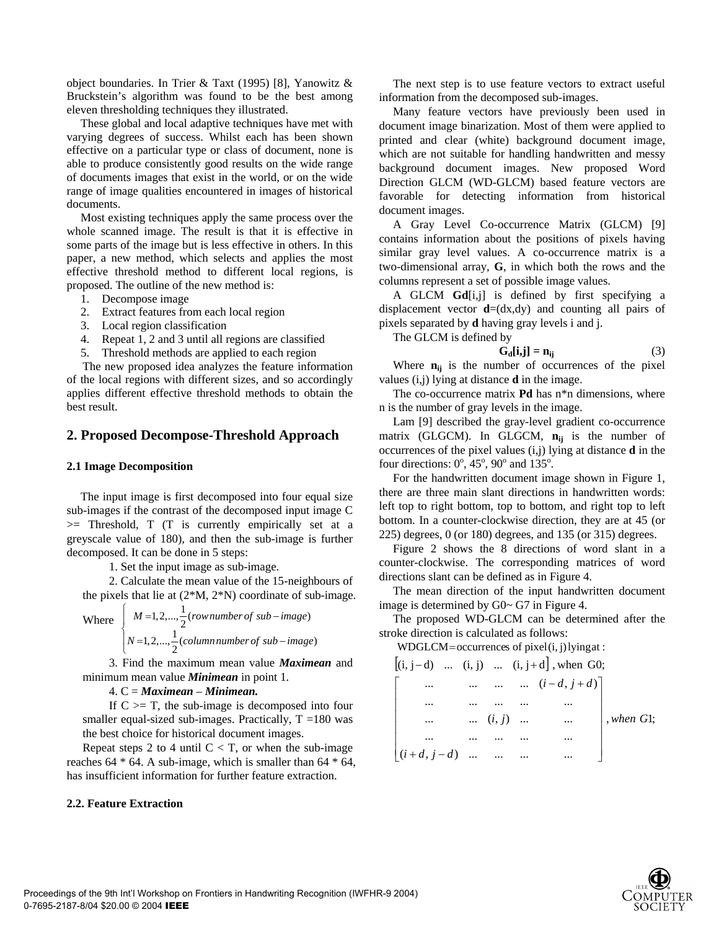object boundaries. In Trier & Taxt (1995) [8], Yanowitz & Bruckstein's algorithm was found to be the best among eleven thresholding techniques they illustrated.

These global and local adaptive techniques have met with varying degrees of success. Whilst each has been shown effective on a particular type or class of document, none is able to produce consistently good results on the wide range of documents images that exist in the world, or on the wide range of image qualities encountered in images of historical documents.

Most existing techniques apply the same process over the whole scanned image. The result is that it is effective in some parts of the image but is less effective in others. In this paper, a new method, which selects and applies the most effective threshold method to different local regions, is proposed. The outline of the new method is:

- 1. Decompose image
- 2. Extract features from each local region
- 3. Local region classification
- 4. Repeat 1, 2 and 3 until all regions are classified
- 5. Threshold methods are applied to each region

The new proposed idea analyzes the feature information of the local regions with different sizes, and so accordingly applies different effective threshold methods to obtain the best result.

### **2. Proposed Decompose-Threshold Approach**

#### **2.1 Image Decomposition**

The input image is first decomposed into four equal size sub-images if the contrast of the decomposed input image C  $\ge$  Threshold, T (T is currently empirically set at a greyscale value of 180), and then the sub-image is further decomposed. It can be done in 5 steps:

1. Set the input image as sub-image.

2. Calculate the mean value of the 15-neighbours of the pixels that lie at (2\*M, 2\*N) coordinate of sub-image.

Where 
$$
\begin{cases} M=1,2,...,\frac{1}{2}(row number of sub-image) \\ N=1,2,...,\frac{1}{2}(column number of sub-image) \end{cases}
$$

3. Find the maximum mean value *Maximean* and minimum mean value *Minimean* in point 1.

4. C = *Maximean* – *Minimean.*

If  $C \geq T$ , the sub-image is decomposed into four smaller equal-sized sub-images. Practically,  $T = 180$  was the best choice for historical document images.

Repeat steps 2 to 4 until  $C < T$ , or when the sub-image reaches  $64 * 64$ . A sub-image, which is smaller than  $64 * 64$ , has insufficient information for further feature extraction.

#### **2.2. Feature Extraction**

The next step is to use feature vectors to extract useful information from the decomposed sub-images.

Many feature vectors have previously been used in document image binarization. Most of them were applied to printed and clear (white) background document image, which are not suitable for handling handwritten and messy background document images. New proposed Word Direction GLCM (WD-GLCM) based feature vectors are favorable for detecting information from historical document images.

A Gray Level Co-occurrence Matrix (GLCM) [9] contains information about the positions of pixels having similar gray level values. A co-occurrence matrix is a two-dimensional array, **G**, in which both the rows and the columns represent a set of possible image values.

A GLCM **Gd**[i,j] is defined by first specifying a displacement vector **d**=(dx,dy) and counting all pairs of pixels separated by **d** having gray levels i and j.

The GLCM is defined by

$$
G_d[i,j] = n_{ij} \tag{3}
$$

Where  $n_{ii}$  is the number of occurrences of the pixel values (i,j) lying at distance **d** in the image.

The co-occurrence matrix **Pd** has n\*n dimensions, where n is the number of gray levels in the image.

Lam [9] described the gray-level gradient co-occurrence matrix (GLGCM). In GLGCM,  $n_{ii}$  is the number of occurrences of the pixel values (i,j) lying at distance **d** in the four directions:  $0^\circ$ ,  $45^\circ$ ,  $90^\circ$  and  $135^\circ$ .

For the handwritten document image shown in Figure 1, there are three main slant directions in handwritten words: left top to right bottom, top to bottom, and right top to left bottom. In a counter-clockwise direction, they are at 45 (or 225) degrees, 0 (or 180) degrees, and 135 (or 315) degrees.

Figure 2 shows the 8 directions of word slant in a counter-clockwise. The corresponding matrices of word directions slant can be defined as in Figure 4.

The mean direction of the input handwritten document image is determined by G0~ G7 in Figure 4.

The proposed WD-GLCM can be determined after the stroke direction is calculated as follows:

 $WDGLCM =$ occurrences of pixel $(i, j)$ lyingat:

|              |  |                          | $[(i, j-d)  (i, j)  (i, j+d],$ when G0; |  |
|--------------|--|--------------------------|-----------------------------------------|--|
| $\cdots$     |  |                          | $\cdots$ $\cdots$ $(i-d, j+d)$          |  |
|              |  |                          |                                         |  |
| $\ddotsc$    |  | $\dots$ $(i, j)$ $\dots$ | $\ldots$ , when G1;                     |  |
|              |  |                          |                                         |  |
| $(i+d, j-d)$ |  |                          |                                         |  |

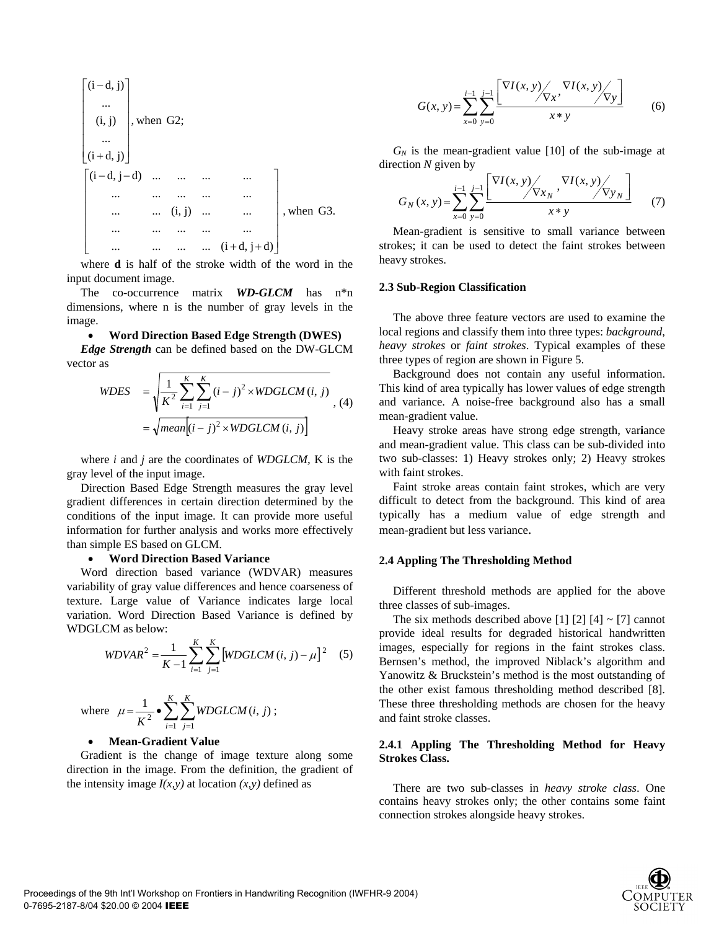$$
\begin{bmatrix}\n(i-d, j) \\
\vdots \\
(i, j) \\
(i+d, j)\n\end{bmatrix}
$$
, when G2;  
\n
$$
\begin{bmatrix}\n(i-d, j-d) & \dots & \dots & \dots & \dots \\
\vdots & \ddots & \vdots & \dots & \dots & \dots \\
\vdots & \ddots & \vdots & \dots & \dots & \dots \\
\vdots & \ddots & \vdots & \dots & \dots & \dots \\
\vdots & \vdots & \vdots & \vdots & \dots & \dots & \dots \\
\vdots & \vdots & \vdots & \vdots & \vdots & \dots & \dots \\
\vdots & \vdots & \vdots & \vdots & \vdots & \dots & \dots \\
\vdots & \vdots & \vdots & \vdots & \vdots & \dots & \dots & \dots \\
\vdots & \vdots & \vdots & \vdots & \vdots & \vdots & \dots & \dots \\
\vdots & \vdots & \vdots & \vdots & \vdots & \vdots & \dots & \dots \\
\vdots & \vdots & \vdots & \vdots & \vdots & \vdots & \dots & \dots \\
\vdots & \vdots & \vdots & \vdots & \vdots & \vdots & \dots & \dots \\
\vdots & \vdots & \vdots & \vdots & \vdots & \vdots & \dots & \dots \\
\vdots & \vdots & \vdots & \vdots & \vdots & \vdots & \dots & \dots & \dots \\
\vdots & \vdots & \vdots & \vdots & \vdots & \vdots & \vdots & \dots & \dots & \dots \\
\vdots & \vdots & \vdots & \vdots & \vdots & \vdots & \vdots & \dots & \dots & \dots \\
\vdots & \vdots & \vdots & \vdots & \vdots & \vdots & \vdots & \vdots & \dots & \dots & \dots \\
\vdots & \vdots & \vdots & \vdots & \vdots & \vdots & \vdots & \vdots & \vdots & \dots & \dots & \dots \\
\vdots & \vdots & \vdots & \vdots & \vdots & \vdots & \vdots & \vdots & \vdots & \dots & \dots & \dots \\
\vdots & \vdots & \vdots & \vdots & \vdots & \vdots & \vdots & \vdots & \dots & \dots & \dots \\
\vdots & \vdots & \vdots & \vdots & \vdots & \vdots & \vdots & \vdots & \vdots & \dots & \dots & \dots \\
\vdots & \vdots & \vdots & \vdots & \vdots & \vdots & \vdots & \vdots & \dots & \dots & \dots \\
\vd
$$

where **d** is half of the stroke width of the word in the input document image.

The co-occurrence matrix *WD-GLCM* has n\*n dimensions, where n is the number of gray levels in the image.

## • **Word Direction Based Edge Strength (DWES)**

*Edge Strength* can be defined based on the DW-GLCM vector as

$$
WDES = \sqrt{\frac{1}{K^2} \sum_{i=1}^{K} \sum_{j=1}^{K} (i-j)^2 \times WDGLCM(i, j))}
$$
  
=  $\sqrt{mean[(i-j)^2 \times WDGLCM(i, j)]}$  (4)

where *i* and *j* are the coordinates of *WDGLCM,* K is the gray level of the input image.

Direction Based Edge Strength measures the gray level gradient differences in certain direction determined by the conditions of the input image. It can provide more useful information for further analysis and works more effectively than simple ES based on GLCM.

#### • **Word Direction Based Variance**

Word direction based variance (WDVAR) measures variability of gray value differences and hence coarseness of texture. Large value of Variance indicates large local variation. Word Direction Based Variance is defined by WDGLCM as below:

$$
WDVAR^{2} = \frac{1}{K-1} \sum_{i=1}^{K} \sum_{j=1}^{K} [WDGLCM(i, j) - \mu]^{2} \quad (5)
$$

where 
$$
\mu = \frac{1}{K^2} \cdot \sum_{i=1}^{K} \sum_{j=1}^{K} WDGLCM(i, j)
$$
;

#### • **Mean-Gradient Value**

Gradient is the change of image texture along some direction in the image. From the definition, the gradient of the intensity image  $I(x, y)$  at location  $(x, y)$  defined as

$$
G(x, y) = \sum_{x=0}^{i-1} \sum_{y=0}^{j-1} \frac{\left[\nabla I(x, y) / \sqrt{x}, \nabla I(x, y) / \sqrt{x}\n\right]}{x * y}
$$
(6)

 $G_N$  is the mean-gradient value [10] of the sub-image at direction *N* given by

$$
G_N(x, y) = \sum_{x=0}^{i-1} \sum_{y=0}^{j-1} \frac{\left[ \nabla I(x, y) \left( \nabla x_N, \nabla I(x, y) \right) \right]}{x \cdot y} \tag{7}
$$

Mean-gradient is sensitive to small variance between strokes; it can be used to detect the faint strokes between heavy strokes.

#### **2.3 Sub-Region Classification**

The above three feature vectors are used to examine the local regions and classify them into three types: *background*, *heavy strokes* or *faint strokes*. Typical examples of these three types of region are shown in Figure 5.

Background does not contain any useful information. This kind of area typically has lower values of edge strength and variance. A noise-free background also has a small mean-gradient value.

Heavy stroke areas have strong edge strength, var**i**ance and mean-gradient value. This class can be sub-divided into two sub-classes: 1) Heavy strokes only; 2) Heavy strokes with faint strokes.

Faint stroke areas contain faint strokes, which are very difficult to detect from the background. This kind of area typically has a medium value of edge strength and mean-gradient but less variance.

#### **2.4 Appling The Thresholding Method**

Different threshold methods are applied for the above three classes of sub-images.

The six methods described above [1] [2] [4]  $\sim$  [7] cannot provide ideal results for degraded historical handwritten images, especially for regions in the faint strokes class. Bernsen's method, the improved Niblack's algorithm and Yanowitz & Bruckstein's method is the most outstanding of the other exist famous thresholding method described [8]. These three thresholding methods are chosen for the heavy and faint stroke classes.

### **2.4.1 Appling The Thresholding Method for Heavy Strokes Class.**

There are two sub-classes in *heavy stroke class*. One contains heavy strokes only; the other contains some faint connection strokes alongside heavy strokes.

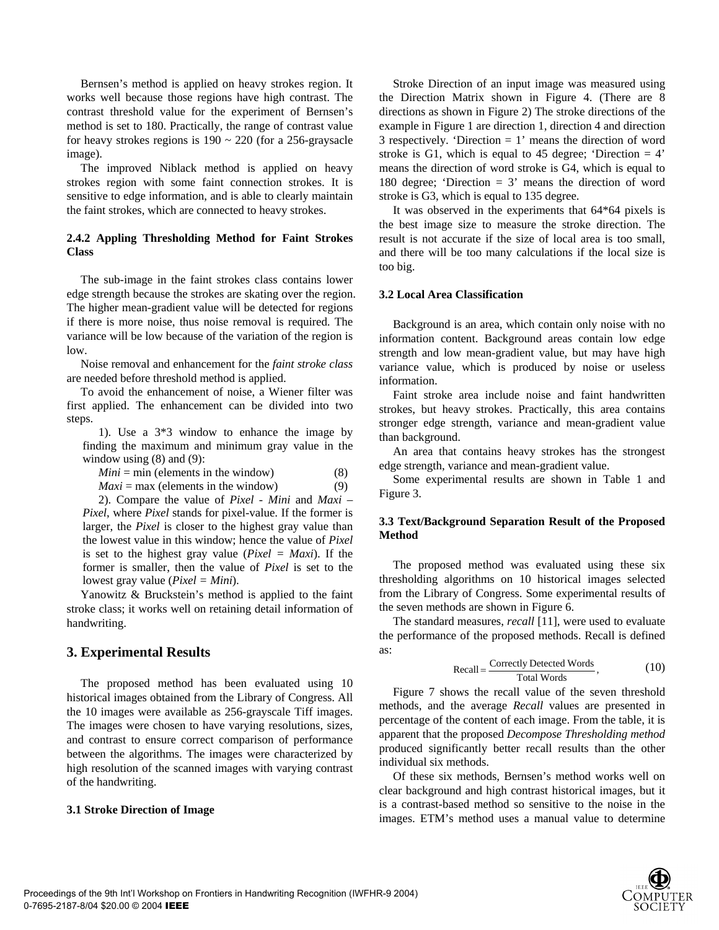Bernsen's method is applied on heavy strokes region. It works well because those regions have high contrast. The contrast threshold value for the experiment of Bernsen's method is set to 180. Practically, the range of contrast value for heavy strokes regions is  $190 \sim 220$  (for a 256-graysacle image).

The improved Niblack method is applied on heavy strokes region with some faint connection strokes. It is sensitive to edge information, and is able to clearly maintain the faint strokes, which are connected to heavy strokes.

## **2.4.2 Appling Thresholding Method for Faint Strokes Class**

The sub-image in the faint strokes class contains lower edge strength because the strokes are skating over the region. The higher mean-gradient value will be detected for regions if there is more noise, thus noise removal is required. The variance will be low because of the variation of the region is low.

Noise removal and enhancement for the *faint stroke class* are needed before threshold method is applied.

To avoid the enhancement of noise, a Wiener filter was first applied. The enhancement can be divided into two steps.

1). Use a 3\*3 window to enhance the image by finding the maximum and minimum gray value in the window using  $(8)$  and  $(9)$ :

|  | $Mini = min$ (elements in the window) | (8) |
|--|---------------------------------------|-----|
|--|---------------------------------------|-----|

 $Maxi = max$  (elements in the window) (9)

2). Compare the value of *Pixel - Mini* and *Maxi – Pixel*, where *Pixel* stands for pixel-value. If the former is larger, the *Pixel* is closer to the highest gray value than the lowest value in this window; hence the value of *Pixel* is set to the highest gray value (*Pixel = Maxi*). If the former is smaller, then the value of *Pixel* is set to the lowest gray value (*Pixel = Mini*).

Yanowitz & Bruckstein's method is applied to the faint stroke class; it works well on retaining detail information of handwriting.

# **3. Experimental Results**

The proposed method has been evaluated using 10 historical images obtained from the Library of Congress. All the 10 images were available as 256-grayscale Tiff images. The images were chosen to have varying resolutions, sizes, and contrast to ensure correct comparison of performance between the algorithms. The images were characterized by high resolution of the scanned images with varying contrast of the handwriting.

## **3.1 Stroke Direction of Image**

Stroke Direction of an input image was measured using the Direction Matrix shown in Figure 4. (There are 8 directions as shown in Figure 2) The stroke directions of the example in Figure 1 are direction 1, direction 4 and direction 3 respectively. 'Direction = 1' means the direction of word stroke is G1, which is equal to 45 degree; 'Direction  $= 4$ ' means the direction of word stroke is G4, which is equal to 180 degree; 'Direction  $= 3$ ' means the direction of word stroke is G3, which is equal to 135 degree.

It was observed in the experiments that 64\*64 pixels is the best image size to measure the stroke direction. The result is not accurate if the size of local area is too small, and there will be too many calculations if the local size is too big.

### **3.2 Local Area Classification**

Background is an area, which contain only noise with no information content. Background areas contain low edge strength and low mean-gradient value, but may have high variance value, which is produced by noise or useless information.

Faint stroke area include noise and faint handwritten strokes, but heavy strokes. Practically, this area contains stronger edge strength, variance and mean-gradient value than background.

An area that contains heavy strokes has the strongest edge strength, variance and mean-gradient value.

Some experimental results are shown in Table 1 and Figure 3.

# **3.3 Text/Background Separation Result of the Proposed Method**

The proposed method was evaluated using these six thresholding algorithms on 10 historical images selected from the Library of Congress. Some experimental results of the seven methods are shown in Figure 6.

The standard measures, *recall* [11], were used to evaluate the performance of the proposed methods. Recall is defined as:

$$
Recall = \frac{Correctly \, detected \, Words}{Total \, Words}, \qquad (10)
$$

Figure 7 shows the recall value of the seven threshold methods, and the average *Recall* values are presented in percentage of the content of each image. From the table, it is apparent that the proposed *Decompose Thresholding method* produced significantly better recall results than the other individual six methods.

Of these six methods, Bernsen's method works well on clear background and high contrast historical images, but it is a contrast-based method so sensitive to the noise in the images. ETM's method uses a manual value to determine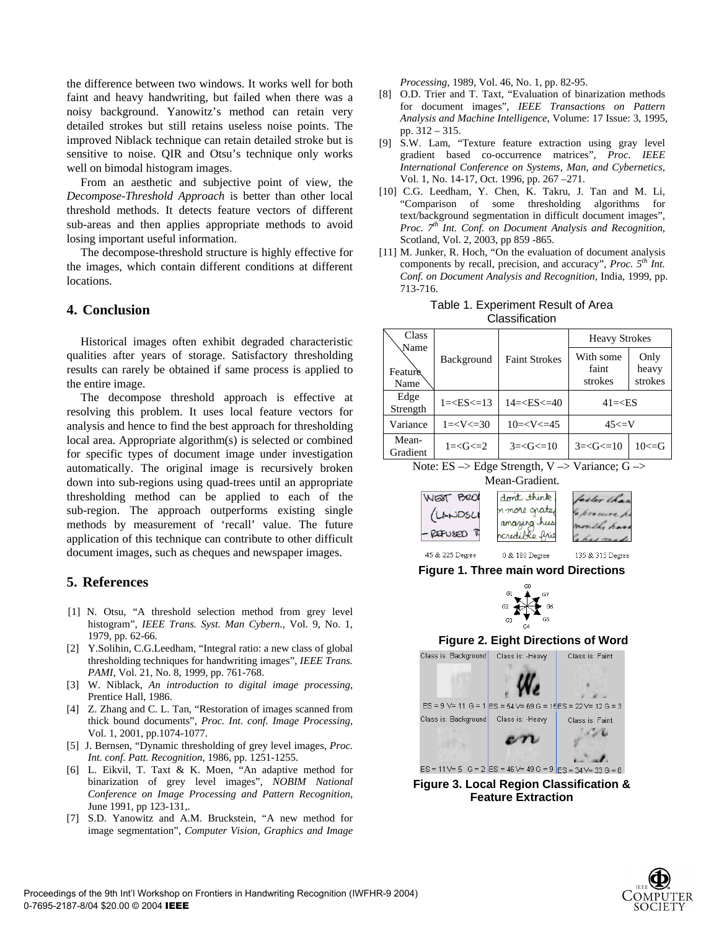the difference between two windows. It works well for both faint and heavy handwriting, but failed when there was a noisy background. Yanowitz's method can retain very detailed strokes but still retains useless noise points. The improved Niblack technique can retain detailed stroke but is sensitive to noise. QIR and Otsu's technique only works well on bimodal histogram images.

From an aesthetic and subjective point of view, the *Decompose-Threshold Approach* is better than other local threshold methods. It detects feature vectors of different sub-areas and then applies appropriate methods to avoid losing important useful information.

The decompose-threshold structure is highly effective for the images, which contain different conditions at different locations.

# **4. Conclusion**

Historical images often exhibit degraded characteristic qualities after years of storage. Satisfactory thresholding results can rarely be obtained if same process is applied to the entire image.

The decompose threshold approach is effective at resolving this problem. It uses local feature vectors for analysis and hence to find the best approach for thresholding local area. Appropriate algorithm(s) is selected or combined for specific types of document image under investigation automatically. The original image is recursively broken down into sub-regions using quad-trees until an appropriate thresholding method can be applied to each of the sub-region. The approach outperforms existing single methods by measurement of 'recall' value. The future application of this technique can contribute to other difficult document images, such as cheques and newspaper images.

# **5. References**

- [1] N. Otsu, "A threshold selection method from grey level histogram", *IEEE Trans. Syst. Man Cybern.,* Vol. 9, No. 1, 1979, pp. 62-66.
- [2] Y.Solihin, C.G.Leedham, "Integral ratio: a new class of global thresholding techniques for handwriting images", *IEEE Trans. PAMI*, Vol. 21, No. 8, 1999, pp. 761-768.
- [3] W. Niblack, *An introduction to digital image processing*, Prentice Hall, 1986.
- [4] Z. Zhang and C. L. Tan, "Restoration of images scanned from thick bound documents", *Proc. Int. conf. Image Processing*, Vol. 1, 2001, pp.1074-1077.
- [5] J. Bernsen, "Dynamic thresholding of grey level images, *Proc. Int. conf. Patt. Recognition*, 1986, pp. 1251-1255.
- [6] L. Eikvil, T. Taxt & K. Moen, "An adaptive method for binarization of grey level images", *NOBIM National Conference on Image Processing and Pattern Recognition,*  June 1991, pp 123-131,.
- [7] S.D. Yanowitz and A.M. Bruckstein, "A new method for image segmentation", *Computer Vision, Graphics and Image*

*Processing*, 1989, Vol. 46, No. 1, pp. 82-95.

- [8] O.D. Trier and T. Taxt, "Evaluation of binarization methods for document images", *IEEE Transactions on Pattern Analysis and Machine Intelligence*, Volume: 17 Issue: 3, 1995, pp. 312 – 315.
- [9] S.W. Lam, "Texture feature extraction using gray level gradient based co-occurrence matrices"*, Proc. IEEE International Conference on Systems, Man, and Cybernetics*, Vol. 1, No. 14-17, Oct. 1996, pp. 267 –271.
- [10] C.G. Leedham, Y. Chen, K. Takru, J. Tan and M. Li, "Comparison of some thresholding algorithms for text/background segmentation in difficult document images", *Proc. 7th Int. Conf. on Document Analysis and Recognition*, Scotland, Vol. 2, 2003, pp 859 -865.
- [11] M. Junker, R. Hoch, "On the evaluation of document analysis components by recall, precision, and accuracy", *Proc. 5th Int. Conf. on Document Analysis and Recognition*, India, 1999, pp. 713-716.

| Table 1. Experiment Result of Area |
|------------------------------------|
| Classification                     |

| Class<br>Name     |                  |                      | <b>Heavy Strokes</b>          |                          |
|-------------------|------------------|----------------------|-------------------------------|--------------------------|
| Feature<br>Name   | Background       | <b>Faint Strokes</b> | With some<br>faint<br>strokes | Only<br>heavy<br>strokes |
| Edge<br>Strength  | $1 = $           | $14 = S<= 40$        | $41=<$ ES                     |                          |
| Variance          | $1 = < V \le 30$ | $10 = < V \le 45$    | $45 \leq$ $=$ $V$             |                          |
| Mean-<br>Gradient | $1 = < G \le 2$  | $3 = C_1 < 10$       | $3 = < G \le 10$              | $10 \leq C$              |
|                   |                  |                      |                               |                          |

Note:  $ES \rightarrow Edge$  Strength,  $V \rightarrow Variance$ ;  $G \rightarrow$ 

Mean-Gradient.

| WEST BRO<br>(LANDSLA<br>- REFUSED R | don't think.<br>si more gratej<br>amazing hus<br>ncredible frie | faster than<br>to procure he<br>month, have<br>shas made |
|-------------------------------------|-----------------------------------------------------------------|----------------------------------------------------------|
| 45 & 225 Degree                     | 0 & 180 Degree                                                  | 135 & 315 Degree                                         |

**Figure 1. Three main word Directions** 



## **Figure 2. Eight Directions of Word**



**Feature Extraction**